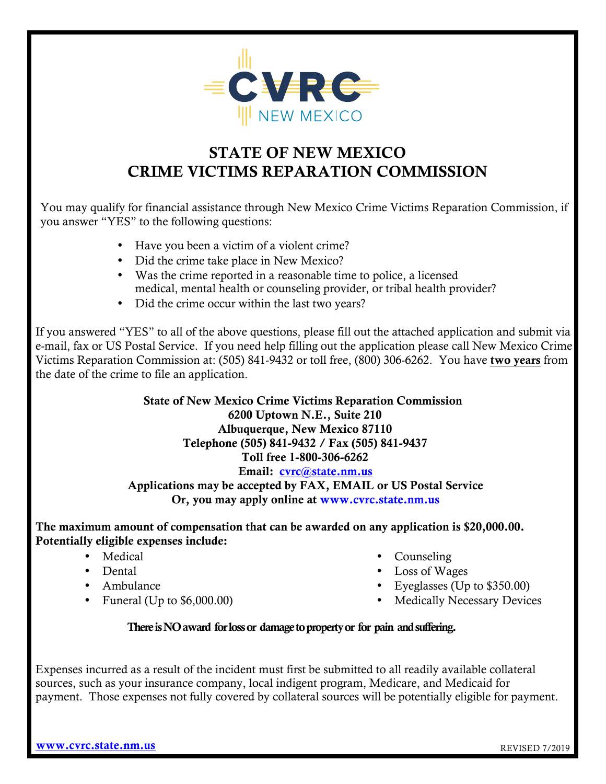

# STATE OF NEW MEXICO CRIME VICTIMS REPARATION COMMISSION

You may qualify for financial assistance through New Mexico Crime Victims Reparation Commission, if you answer "YES" to the following questions:

- Have you been a victim of a violent crime?
- Did the crime take place in New Mexico?
- Was the crime reported in a reasonable time to police, a licensed medical, mental health or counseling provider, or tribal health provider?
- Did the crime occur within the last two years?

If you answered "YES" to all of the above questions, please fill out the attached application and submit via e-mail, fax or US Postal Service. If you need help filling out the application please call New Mexico Crime Victims Reparation Commission at: (505) 841-9432 or toll free, (800) 306-6262. You have two years from the date of the crime to file an application.

> State of New Mexico Crime Victims Reparation Commission 6200 Uptown N.E., Suite 210 Albuquerque, New Mexico 87110 Telephone (505) 841-9432 / Fax (505) 841-9437 Toll free 1-800-306-6262 Email: cvrc@state.nm.us Applications may be accepted by FAX, EMAIL or US Postal Service Or, you may apply online at<www.cvrc.state.nm.us>

The maximum amount of compensation that can be awarded on any application is \$20,000.00. Potentially eligible expenses include:

- Medical
- Dental
- Ambulance
- Funeral (Up to \$6,000.00)
- Counseling
- Loss of Wages
- Eyeglasses (Up to \$350.00)
- Medically Necessary Devices

### There is NO award for loss or damage to property or for pain and suffering.

Expenses incurred as a result of the incident must first be submitted to all readily available collateral sources, such as your insurance company, local indigent program, Medicare, and Medicaid for payment. Those expenses not fully covered by collateral sources will be potentially eligible for payment.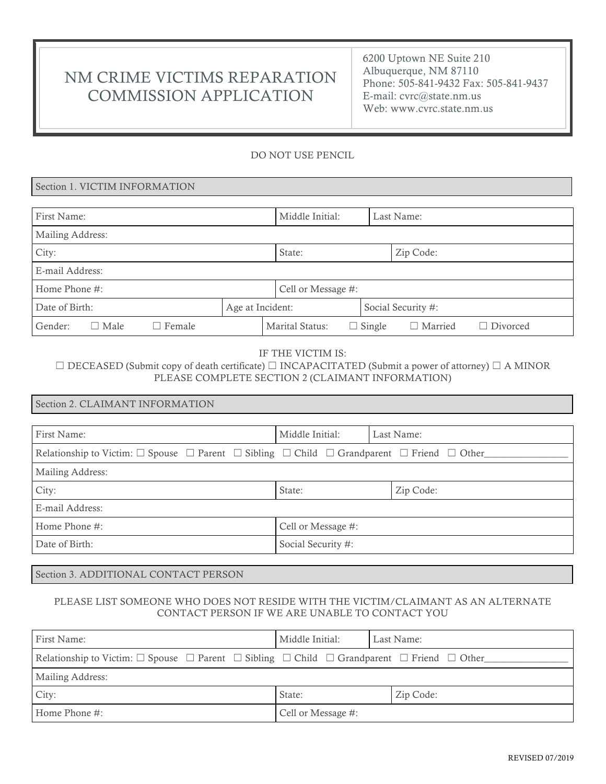# NM CRIME VICTIMS REPARATION COMMISSION APPLICATION

6200 Uptown NE Suite 210 Albuquerque, NM 87110 Phone: 505-841-9432 Fax: 505-841-9437 E-mail: cvrc@state.nm.us Web: www.cvrc.state.nm.us

#### DO NOT USE PENCIL

#### Section 1. VICTIM INFORMATION

| First Name:                             |                  | Middle Initial:    |               | Last Name:         |                 |
|-----------------------------------------|------------------|--------------------|---------------|--------------------|-----------------|
| Mailing Address:                        |                  |                    |               |                    |                 |
| City:                                   |                  | State:             |               | Zip Code:          |                 |
| E-mail Address:                         |                  |                    |               |                    |                 |
| Home Phone #:                           |                  | Cell or Message #: |               |                    |                 |
| Date of Birth:                          | Age at Incident: |                    |               | Social Security #: |                 |
| Gender:<br>$\Box$ Male<br>$\Box$ Female |                  | Marital Status:    | $\Box$ Single | $\Box$ Married     | $\Box$ Divorced |

#### IF THE VICTIM IS:

☐ DECEASED (Submit copy of death certificate) ☐ INCAPACITATED (Submit a power of attorney) ☐ A MINOR PLEASE COMPLETE SECTION 2 (CLAIMANT INFORMATION)

| Section 2. CLAIMANT INFORMATION                                                                                                                    |                    |            |  |
|----------------------------------------------------------------------------------------------------------------------------------------------------|--------------------|------------|--|
|                                                                                                                                                    |                    |            |  |
| First Name:                                                                                                                                        | Middle Initial:    | Last Name: |  |
| Relationship to Victim: $\square$ Spouse $\square$ Parent $\square$ Sibling $\square$ Child $\square$ Grandparent $\square$ Friend $\square$ Other |                    |            |  |
| Mailing Address:                                                                                                                                   |                    |            |  |
| City:                                                                                                                                              | State:             | Zip Code:  |  |
| E-mail Address:                                                                                                                                    |                    |            |  |
| Home Phone #:                                                                                                                                      | Cell or Message #: |            |  |
| Date of Birth:                                                                                                                                     | Social Security #: |            |  |

Section 3. ADDITIONAL CONTACT PERSON

#### PLEASE LIST SOMEONE WHO DOES NOT RESIDE WITH THE VICTIM/CLAIMANT AS AN ALTERNATE CONTACT PERSON IF WE ARE UNABLE TO CONTACT YOU

| First Name:                                                                                                                                        | Middle Initial:    | Last Name: |  |
|----------------------------------------------------------------------------------------------------------------------------------------------------|--------------------|------------|--|
| Relationship to Victim: $\square$ Spouse $\square$ Parent $\square$ Sibling $\square$ Child $\square$ Grandparent $\square$ Friend $\square$ Other |                    |            |  |
| Mailing Address:                                                                                                                                   |                    |            |  |
| City:                                                                                                                                              | State:             | Zip Code:  |  |
| Home Phone $#$ :                                                                                                                                   | Cell or Message #: |            |  |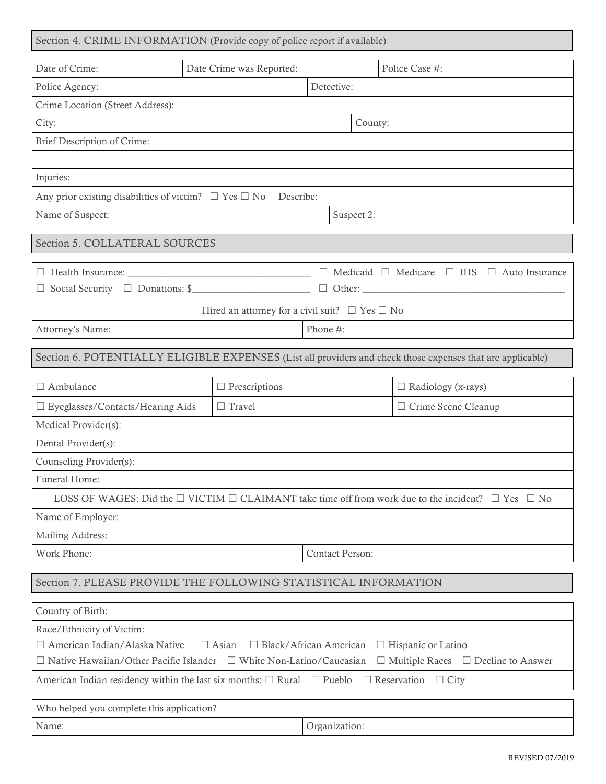| Section 4. CRIME INFORMATION (Provide copy of police report if available) |  |  |
|---------------------------------------------------------------------------|--|--|
|---------------------------------------------------------------------------|--|--|

| Date of Crime:                                                                                                                    | Date Crime was Reported:                                 |                                 | Police Case #:                                                                                                         |  |
|-----------------------------------------------------------------------------------------------------------------------------------|----------------------------------------------------------|---------------------------------|------------------------------------------------------------------------------------------------------------------------|--|
| Police Agency:                                                                                                                    | Detective:                                               |                                 |                                                                                                                        |  |
| Crime Location (Street Address):                                                                                                  |                                                          |                                 |                                                                                                                        |  |
| City:                                                                                                                             | County:                                                  |                                 |                                                                                                                        |  |
| Brief Description of Crime:                                                                                                       |                                                          |                                 |                                                                                                                        |  |
|                                                                                                                                   |                                                          |                                 |                                                                                                                        |  |
| Injuries:                                                                                                                         |                                                          |                                 |                                                                                                                        |  |
| Any prior existing disabilities of victim? $\Box$ Yes $\Box$ No<br>Describe:                                                      |                                                          |                                 |                                                                                                                        |  |
| Name of Suspect:                                                                                                                  |                                                          | Suspect 2:                      |                                                                                                                        |  |
| Section 5. COLLATERAL SOURCES                                                                                                     |                                                          |                                 |                                                                                                                        |  |
|                                                                                                                                   |                                                          | $\Box$ Medicaid $\Box$ Medicare | $\Box$ IHS<br>$\Box$ Auto Insurance                                                                                    |  |
| □ Social Security □ Donations: \$                                                                                                 |                                                          |                                 |                                                                                                                        |  |
|                                                                                                                                   | Hired an attorney for a civil suit? $\Box$ Yes $\Box$ No |                                 |                                                                                                                        |  |
| Attorney's Name:                                                                                                                  |                                                          | Phone #:                        |                                                                                                                        |  |
|                                                                                                                                   |                                                          |                                 |                                                                                                                        |  |
|                                                                                                                                   |                                                          |                                 | Section 6. POTENTIALLY ELIGIBLE EXPENSES (List all providers and check those expenses that are applicable)             |  |
| $\Box$ Ambulance                                                                                                                  | $\Box$ Prescriptions                                     |                                 | $\Box$ Radiology (x-rays)                                                                                              |  |
| $\square$ Eyeglasses/Contacts/Hearing Aids                                                                                        | $\Box$ Travel                                            |                                 | □ Crime Scene Cleanup                                                                                                  |  |
| Medical Provider(s):                                                                                                              |                                                          |                                 |                                                                                                                        |  |
| Dental Provider(s):                                                                                                               |                                                          |                                 |                                                                                                                        |  |
| Counseling Provider(s):                                                                                                           |                                                          |                                 |                                                                                                                        |  |
| Funeral Home:                                                                                                                     |                                                          |                                 |                                                                                                                        |  |
|                                                                                                                                   |                                                          |                                 | LOSS OF WAGES: Did the $\Box$ VICTIM $\Box$ CLAIMANT take time off from work due to the incident? $\Box$ Yes $\Box$ No |  |
| Name of Employer:                                                                                                                 |                                                          |                                 |                                                                                                                        |  |
| Mailing Address:                                                                                                                  |                                                          |                                 |                                                                                                                        |  |
| Work Phone:                                                                                                                       |                                                          | Contact Person:                 |                                                                                                                        |  |
| Section 7. PLEASE PROVIDE THE FOLLOWING STATISTICAL INFORMATION                                                                   |                                                          |                                 |                                                                                                                        |  |
| Country of Birth:                                                                                                                 |                                                          |                                 |                                                                                                                        |  |
| Race/Ethnicity of Victim:                                                                                                         |                                                          |                                 |                                                                                                                        |  |
| □ American Indian/Alaska Native<br>$\Box$ Black/African American<br>$\Box$ Asian<br>$\Box$ Hispanic or Latino                     |                                                          |                                 |                                                                                                                        |  |
| $\Box$ Native Hawaiian/Other Pacific Islander $\Box$ White Non-Latino/Caucasian<br>$\Box$ Multiple Races $\Box$ Decline to Answer |                                                          |                                 |                                                                                                                        |  |
| American Indian residency within the last six months: $\Box$ Rural $\Box$ Pueblo<br>$\Box$ Reservation<br>$\Box$ City             |                                                          |                                 |                                                                                                                        |  |
| Who helped you complete this application?                                                                                         |                                                          |                                 |                                                                                                                        |  |
| Name:                                                                                                                             |                                                          | Organization:                   |                                                                                                                        |  |